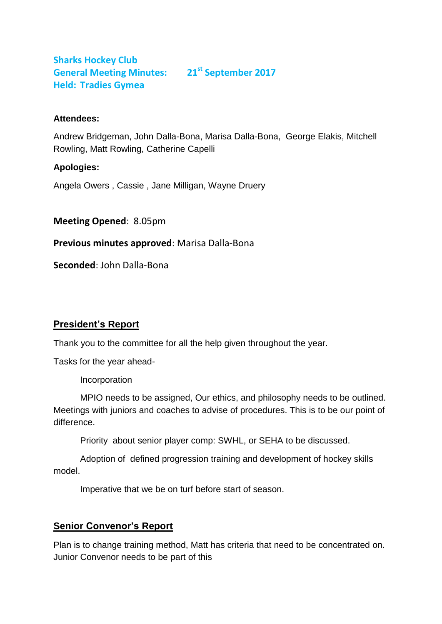# **Sharks Hockey Club General Meeting Minutes: 21st September 2017 Held: Tradies Gymea**

#### **Attendees:**

Andrew Bridgeman, John Dalla-Bona, Marisa Dalla-Bona, George Elakis, Mitchell Rowling, Matt Rowling, Catherine Capelli

#### **Apologies:**

Angela Owers , Cassie , Jane Milligan, Wayne Druery

**Meeting Opened**: 8.05pm

**Previous minutes approved**: Marisa Dalla-Bona

**Seconded**: John Dalla-Bona

# **President's Report**

Thank you to the committee for all the help given throughout the year.

Tasks for the year ahead-

Incorporation

MPIO needs to be assigned, Our ethics, and philosophy needs to be outlined. Meetings with juniors and coaches to advise of procedures. This is to be our point of difference.

Priority about senior player comp: SWHL, or SEHA to be discussed.

Adoption of defined progression training and development of hockey skills model.

Imperative that we be on turf before start of season.

# **Senior Convenor's Report**

Plan is to change training method, Matt has criteria that need to be concentrated on. Junior Convenor needs to be part of this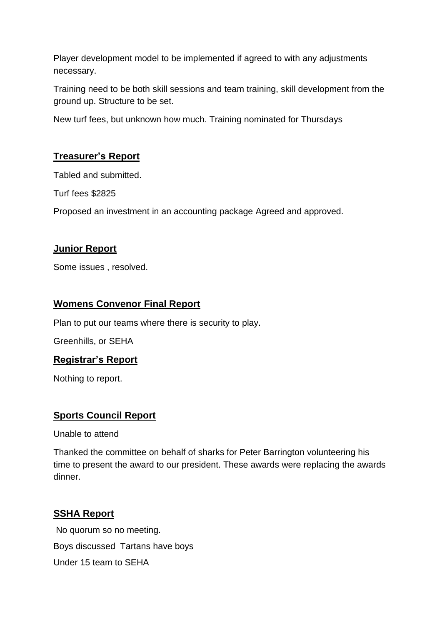Player development model to be implemented if agreed to with any adjustments necessary.

Training need to be both skill sessions and team training, skill development from the ground up. Structure to be set.

New turf fees, but unknown how much. Training nominated for Thursdays

## **Treasurer's Report**

Tabled and submitted.

Turf fees \$2825

Proposed an investment in an accounting package Agreed and approved.

## **Junior Report**

Some issues , resolved.

### **Womens Convenor Final Report**

Plan to put our teams where there is security to play.

Greenhills, or SEHA

### **Registrar's Report**

Nothing to report.

### **Sports Council Report**

Unable to attend

Thanked the committee on behalf of sharks for Peter Barrington volunteering his time to present the award to our president. These awards were replacing the awards dinner.

### **SSHA Report**

No quorum so no meeting. Boys discussed Tartans have boys Under 15 team to SEHA